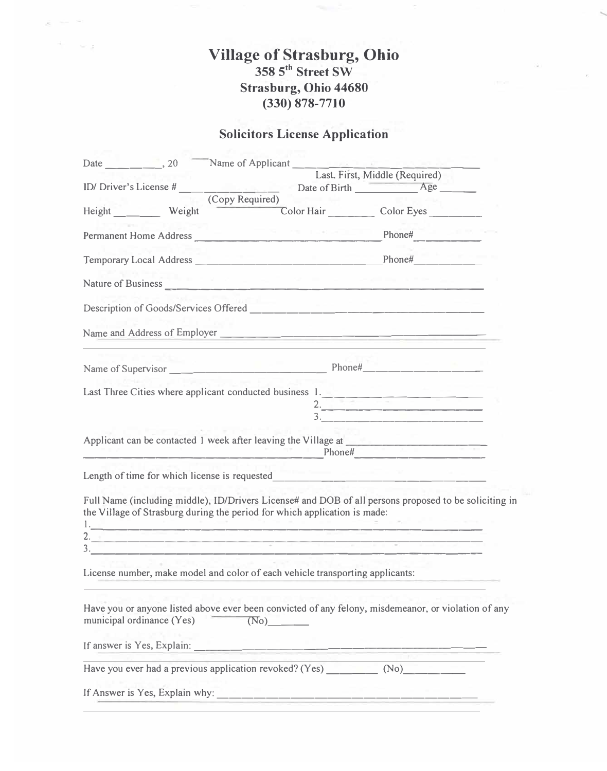## **Village of Strasburg, Ohio 358 5 th Street SW Strasburg, Ohio 44680 (330) 878-7710**

the security

## **Solicitors License Application**

|                                                                               | Last, First, Middle (Required)                                                                        |  |
|-------------------------------------------------------------------------------|-------------------------------------------------------------------------------------------------------|--|
|                                                                               | Date of Birth Age _____                                                                               |  |
| (Copy Required)<br>Height Weight                                              | Color Hair Color Eyes                                                                                 |  |
|                                                                               | Permanent Home Address Phone# Phone#                                                                  |  |
|                                                                               | Temporary Local Address Phone# Phone# Phone#                                                          |  |
| Nature of Business <b>Mature of Business</b>                                  | the state and the control of the state and the control of                                             |  |
|                                                                               |                                                                                                       |  |
|                                                                               | Name and Address of Employer                                                                          |  |
|                                                                               |                                                                                                       |  |
|                                                                               | Last Three Cities where applicant conducted business $1 -$                                            |  |
|                                                                               | Phone#                                                                                                |  |
|                                                                               |                                                                                                       |  |
| the Village of Strasburg during the period for which application is made:     | Full Name (including middle), ID/Drivers License# and DOB of all persons proposed to be soliciting in |  |
|                                                                               |                                                                                                       |  |
| License number, make model and color of each vehicle transporting applicants: |                                                                                                       |  |
| municipal ordinance (Yes)<br>(No)                                             | Have you or anyone listed above ever been convicted of any felony, misdemeanor, or violation of any   |  |
|                                                                               |                                                                                                       |  |
|                                                                               | Have you ever had a previous application revoked? (Yes) __________ (No)_________                      |  |
|                                                                               |                                                                                                       |  |